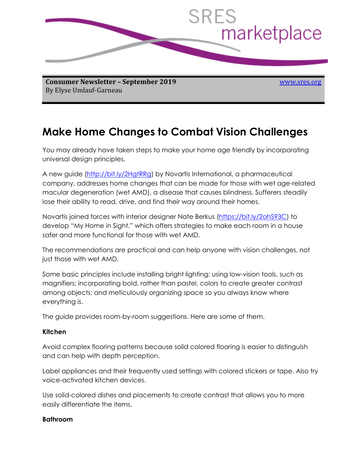

**Consumer Newsletter – September 2019** By Elyse Umlauf-Garneau

[www.sres.org](http://www.sres./)

# **Make Home Changes to Combat Vision Challenges**

You may already have taken steps to make your home age friendly by incorporating universal design principles.

A new guide [\(http://bit.ly/2HgtRRg\)](http://bit.ly/2HgtRRg) by Novartis International, a pharmaceutical company, addresses home changes that can be made for those with wet age-related macular degeneration (wet AMD), a disease that causes blindness. Sufferers steadily lose their ability to read, drive, and find their way around their homes.

Novartis joined forces with interior designer Nate Berkus [\(https://bit.ly/2ohS93C\)](https://bit.ly/2ohS93C) to develop "My Home in Sight," which offers strategies to make each room in a house safer and more functional for those with wet AMD.

The recommendations are practical and can help anyone with vision challenges, not just those with wet AMD.

Some basic principles include installing bright lighting; using low-vision tools, such as magnifiers; incorporating bold, rather than pastel, colors to create greater contrast among objects; and meticulously organizing space so you always know where everything is.

The guide provides room-by-room suggestions. Here are some of them.

#### **Kitchen**

Avoid complex flooring patterns because solid colored flooring is easier to distinguish and can help with depth perception.

Label appliances and their frequently used settings with colored stickers or tape. Also try voice-activated kitchen devices.

Use solid-colored dishes and placements to create contrast that allows you to more easily differentiate the items.

#### **Bathroom**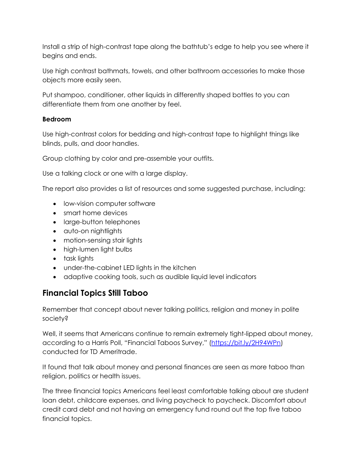Install a strip of high-contrast tape along the bathtub's edge to help you see where it begins and ends.

Use high contrast bathmats, towels, and other bathroom accessories to make those objects more easily seen.

Put shampoo, conditioner, other liquids in differently shaped bottles to you can differentiate them from one another by feel.

### **Bedroom**

Use high-contrast colors for bedding and high-contrast tape to highlight things like blinds, pulls, and door handles.

Group clothing by color and pre-assemble your outfits.

Use a talking clock or one with a large display.

The report also provides a list of resources and some suggested purchase, including:

- low-vision computer software
- smart home devices
- large-button telephones
- auto-on nightlights
- motion-sensing stair lights
- high-lumen light bulbs
- task lights
- under-the-cabinet LED lights in the kitchen
- adaptive cooking tools, such as audible liquid level indicators

## **Financial Topics Still Taboo**

Remember that concept about never talking politics, religion and money in polite society?

Well, it seems that Americans continue to remain extremely tight-lipped about money, according to a Harris Poll, "Financial Taboos Survey," ([https://bit.ly/2H94WPn\)](https://bit.ly/2H94WPn) conducted for TD Ameritrade.

It found that talk about money and personal finances are seen as more taboo than religion, politics or health issues.

The three financial topics Americans feel least comfortable talking about are student loan debt, childcare expenses, and living paycheck to paycheck. Discomfort about credit card debt and not having an emergency fund round out the top five taboo financial topics.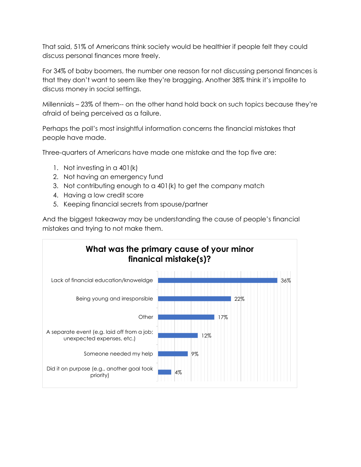That said, 51% of Americans think society would be healthier if people felt they could discuss personal finances more freely.

For 34% of baby boomers, the number one reason for not discussing personal finances is that they don't want to seem like they're bragging. Another 38% think it's impolite to discuss money in social settings.

Millennials – 23% of them-- on the other hand hold back on such topics because they're afraid of being perceived as a failure.

Perhaps the poll's most insightful information concerns the financial mistakes that people have made.

Three-quarters of Americans have made one mistake and the top five are:

- 1. Not investing in a 401(k)
- 2. Not having an emergency fund
- 3. Not contributing enough to a 401(k) to get the company match
- 4. Having a low credit score
- 5. Keeping financial secrets from spouse/partner

And the biggest takeaway may be understanding the cause of people's financial mistakes and trying to not make them.